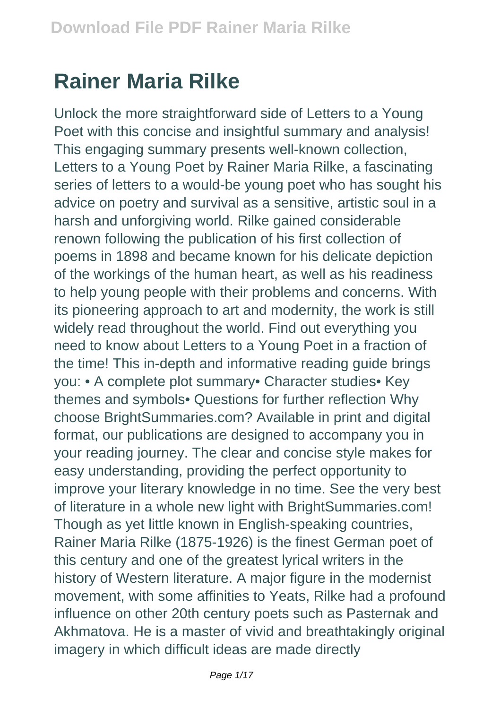## **Rainer Maria Rilke**

Unlock the more straightforward side of Letters to a Young Poet with this concise and insightful summary and analysis! This engaging summary presents well-known collection, Letters to a Young Poet by Rainer Maria Rilke, a fascinating series of letters to a would-be young poet who has sought his advice on poetry and survival as a sensitive, artistic soul in a harsh and unforgiving world. Rilke gained considerable renown following the publication of his first collection of poems in 1898 and became known for his delicate depiction of the workings of the human heart, as well as his readiness to help young people with their problems and concerns. With its pioneering approach to art and modernity, the work is still widely read throughout the world. Find out everything you need to know about Letters to a Young Poet in a fraction of the time! This in-depth and informative reading guide brings you: • A complete plot summary• Character studies• Key themes and symbols• Questions for further reflection Why choose BrightSummaries.com? Available in print and digital format, our publications are designed to accompany you in your reading journey. The clear and concise style makes for easy understanding, providing the perfect opportunity to improve your literary knowledge in no time. See the very best of literature in a whole new light with BrightSummaries.com! Though as yet little known in English-speaking countries, Rainer Maria Rilke (1875-1926) is the finest German poet of this century and one of the greatest lyrical writers in the history of Western literature. A major figure in the modernist movement, with some affinities to Yeats, Rilke had a profound influence on other 20th century poets such as Pasternak and Akhmatova. He is a master of vivid and breathtakingly original imagery in which difficult ideas are made directly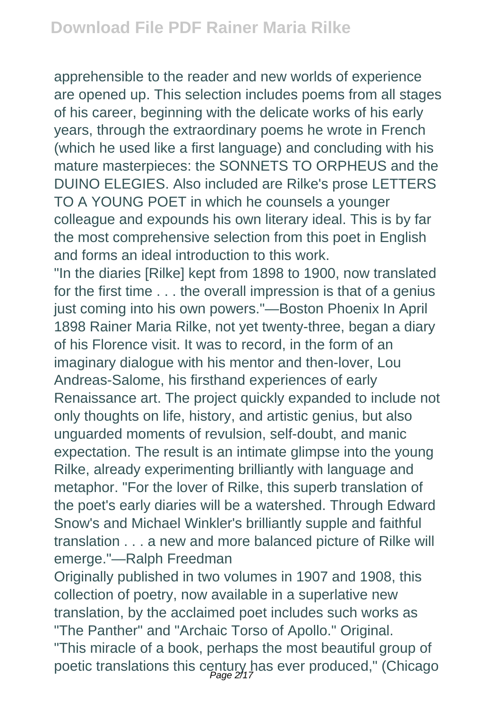apprehensible to the reader and new worlds of experience are opened up. This selection includes poems from all stages of his career, beginning with the delicate works of his early years, through the extraordinary poems he wrote in French (which he used like a first language) and concluding with his mature masterpieces: the SONNETS TO ORPHEUS and the DUINO ELEGIES. Also included are Rilke's prose LETTERS TO A YOUNG POET in which he counsels a younger colleague and expounds his own literary ideal. This is by far the most comprehensive selection from this poet in English and forms an ideal introduction to this work.

"In the diaries [Rilke] kept from 1898 to 1900, now translated for the first time . . . the overall impression is that of a genius just coming into his own powers."—Boston Phoenix In April 1898 Rainer Maria Rilke, not yet twenty-three, began a diary of his Florence visit. It was to record, in the form of an imaginary dialogue with his mentor and then-lover, Lou Andreas-Salome, his firsthand experiences of early Renaissance art. The project quickly expanded to include not only thoughts on life, history, and artistic genius, but also unguarded moments of revulsion, self-doubt, and manic expectation. The result is an intimate glimpse into the young Rilke, already experimenting brilliantly with language and metaphor. "For the lover of Rilke, this superb translation of the poet's early diaries will be a watershed. Through Edward Snow's and Michael Winkler's brilliantly supple and faithful translation . . . a new and more balanced picture of Rilke will emerge."—Ralph Freedman

Originally published in two volumes in 1907 and 1908, this collection of poetry, now available in a superlative new translation, by the acclaimed poet includes such works as "The Panther" and "Archaic Torso of Apollo." Original. "This miracle of a book, perhaps the most beautiful group of poetic translations this century has ever produced," (Chicago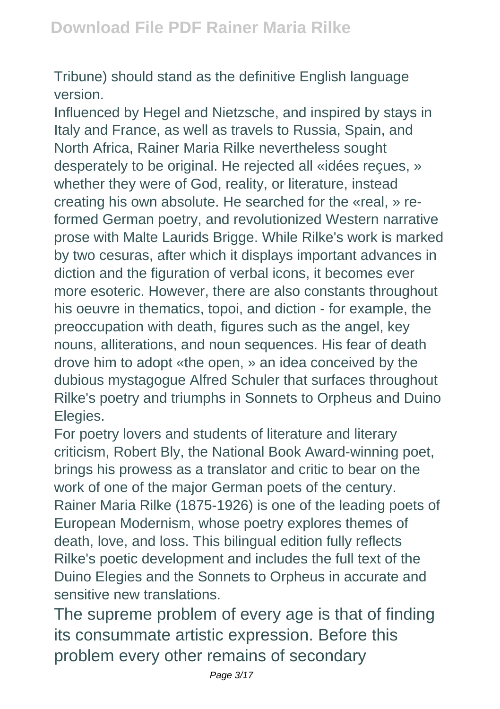Tribune) should stand as the definitive English language version.

Influenced by Hegel and Nietzsche, and inspired by stays in Italy and France, as well as travels to Russia, Spain, and North Africa, Rainer Maria Rilke nevertheless sought desperately to be original. He rejected all «idées reçues, » whether they were of God, reality, or literature, instead creating his own absolute. He searched for the «real, » reformed German poetry, and revolutionized Western narrative prose with Malte Laurids Brigge. While Rilke's work is marked by two cesuras, after which it displays important advances in diction and the figuration of verbal icons, it becomes ever more esoteric. However, there are also constants throughout his oeuvre in thematics, topoi, and diction - for example, the preoccupation with death, figures such as the angel, key nouns, alliterations, and noun sequences. His fear of death drove him to adopt «the open, » an idea conceived by the dubious mystagogue Alfred Schuler that surfaces throughout Rilke's poetry and triumphs in Sonnets to Orpheus and Duino Elegies.

For poetry lovers and students of literature and literary criticism, Robert Bly, the National Book Award-winning poet, brings his prowess as a translator and critic to bear on the work of one of the major German poets of the century. Rainer Maria Rilke (1875-1926) is one of the leading poets of European Modernism, whose poetry explores themes of death, love, and loss. This bilingual edition fully reflects Rilke's poetic development and includes the full text of the Duino Elegies and the Sonnets to Orpheus in accurate and sensitive new translations.

The supreme problem of every age is that of finding its consummate artistic expression. Before this problem every other remains of secondary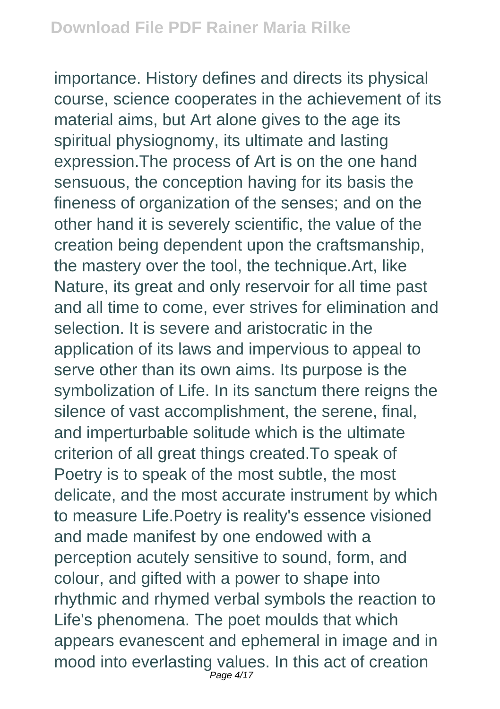importance. History defines and directs its physical course, science cooperates in the achievement of its material aims, but Art alone gives to the age its spiritual physiognomy, its ultimate and lasting expression.The process of Art is on the one hand sensuous, the conception having for its basis the fineness of organization of the senses; and on the other hand it is severely scientific, the value of the creation being dependent upon the craftsmanship, the mastery over the tool, the technique.Art, like Nature, its great and only reservoir for all time past and all time to come, ever strives for elimination and selection. It is severe and aristocratic in the application of its laws and impervious to appeal to serve other than its own aims. Its purpose is the symbolization of Life. In its sanctum there reigns the silence of vast accomplishment, the serene, final, and imperturbable solitude which is the ultimate criterion of all great things created.To speak of Poetry is to speak of the most subtle, the most delicate, and the most accurate instrument by which to measure Life.Poetry is reality's essence visioned and made manifest by one endowed with a perception acutely sensitive to sound, form, and colour, and gifted with a power to shape into rhythmic and rhymed verbal symbols the reaction to Life's phenomena. The poet moulds that which appears evanescent and ephemeral in image and in mood into everlasting values. In this act of creation Page 4/17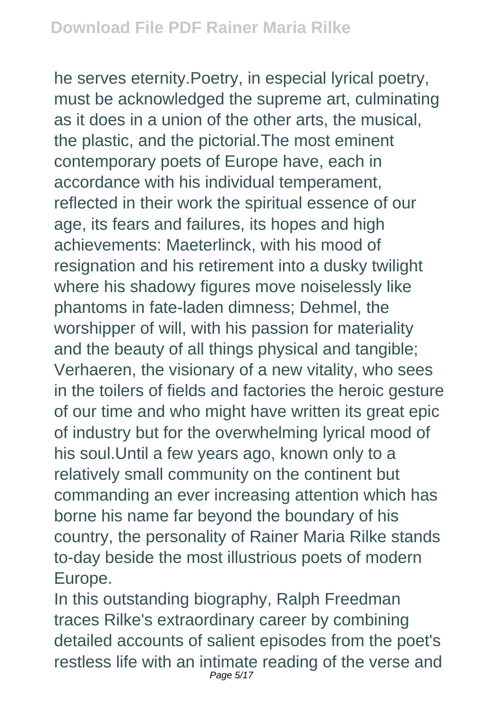he serves eternity.Poetry, in especial lyrical poetry, must be acknowledged the supreme art, culminating as it does in a union of the other arts, the musical, the plastic, and the pictorial.The most eminent contemporary poets of Europe have, each in accordance with his individual temperament, reflected in their work the spiritual essence of our age, its fears and failures, its hopes and high achievements: Maeterlinck, with his mood of resignation and his retirement into a dusky twilight where his shadowy figures move noiselessly like phantoms in fate-laden dimness; Dehmel, the worshipper of will, with his passion for materiality and the beauty of all things physical and tangible; Verhaeren, the visionary of a new vitality, who sees in the toilers of fields and factories the heroic gesture of our time and who might have written its great epic of industry but for the overwhelming lyrical mood of his soul.Until a few years ago, known only to a relatively small community on the continent but commanding an ever increasing attention which has borne his name far beyond the boundary of his country, the personality of Rainer Maria Rilke stands to-day beside the most illustrious poets of modern Europe.

In this outstanding biography, Ralph Freedman traces Rilke's extraordinary career by combining detailed accounts of salient episodes from the poet's restless life with an intimate reading of the verse and Page 5/17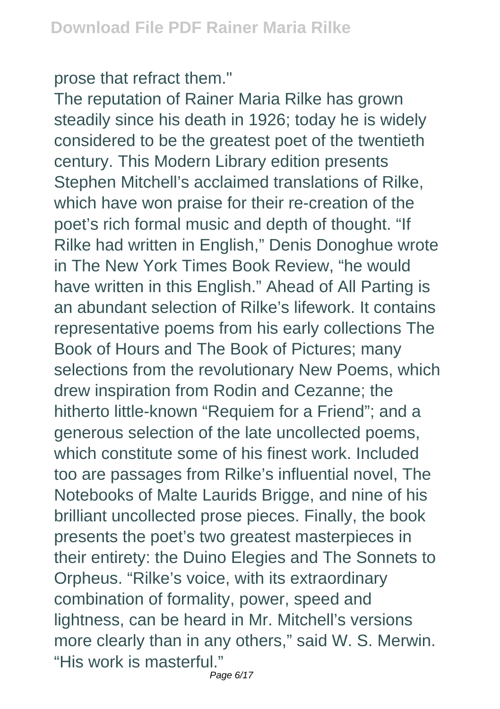prose that refract them."

The reputation of Rainer Maria Rilke has grown steadily since his death in 1926; today he is widely considered to be the greatest poet of the twentieth century. This Modern Library edition presents Stephen Mitchell's acclaimed translations of Rilke, which have won praise for their re-creation of the poet's rich formal music and depth of thought. "If Rilke had written in English," Denis Donoghue wrote in The New York Times Book Review, "he would have written in this English." Ahead of All Parting is an abundant selection of Rilke's lifework. It contains representative poems from his early collections The Book of Hours and The Book of Pictures; many selections from the revolutionary New Poems, which drew inspiration from Rodin and Cezanne; the hitherto little-known "Requiem for a Friend"; and a generous selection of the late uncollected poems, which constitute some of his finest work. Included too are passages from Rilke's influential novel, The Notebooks of Malte Laurids Brigge, and nine of his brilliant uncollected prose pieces. Finally, the book presents the poet's two greatest masterpieces in their entirety: the Duino Elegies and The Sonnets to Orpheus. "Rilke's voice, with its extraordinary combination of formality, power, speed and lightness, can be heard in Mr. Mitchell's versions more clearly than in any others," said W. S. Merwin. "His work is masterful."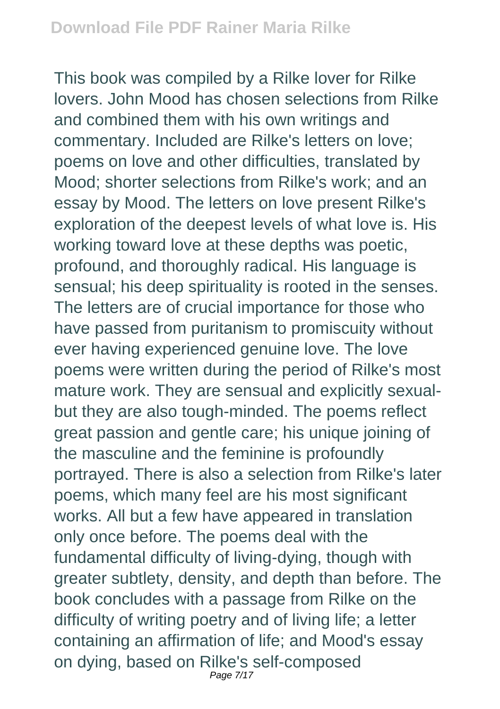This book was compiled by a Rilke lover for Rilke lovers. John Mood has chosen selections from Rilke and combined them with his own writings and commentary. Included are Rilke's letters on love; poems on love and other difficulties, translated by Mood; shorter selections from Rilke's work; and an essay by Mood. The letters on love present Rilke's exploration of the deepest levels of what love is. His working toward love at these depths was poetic, profound, and thoroughly radical. His language is sensual; his deep spirituality is rooted in the senses. The letters are of crucial importance for those who have passed from puritanism to promiscuity without ever having experienced genuine love. The love poems were written during the period of Rilke's most mature work. They are sensual and explicitly sexualbut they are also tough-minded. The poems reflect great passion and gentle care; his unique joining of the masculine and the feminine is profoundly portrayed. There is also a selection from Rilke's later poems, which many feel are his most significant works. All but a few have appeared in translation only once before. The poems deal with the fundamental difficulty of living-dying, though with greater subtlety, density, and depth than before. The book concludes with a passage from Rilke on the difficulty of writing poetry and of living life; a letter containing an affirmation of life; and Mood's essay on dying, based on Rilke's self-composed Page 7/17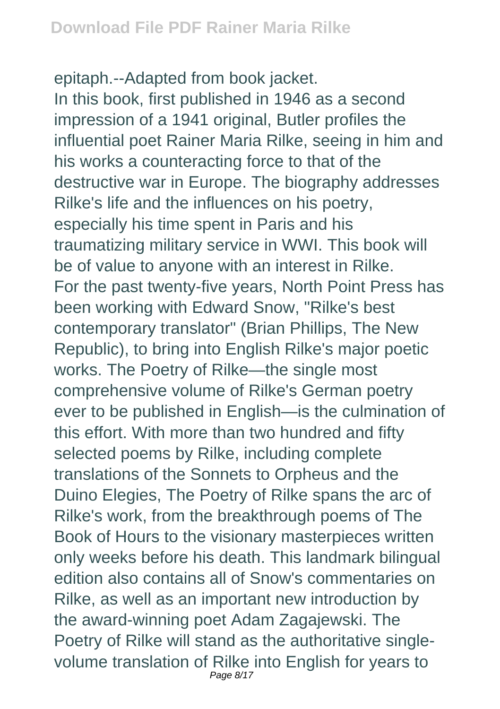epitaph.--Adapted from book jacket. In this book, first published in 1946 as a second impression of a 1941 original, Butler profiles the influential poet Rainer Maria Rilke, seeing in him and his works a counteracting force to that of the destructive war in Europe. The biography addresses Rilke's life and the influences on his poetry, especially his time spent in Paris and his traumatizing military service in WWI. This book will be of value to anyone with an interest in Rilke. For the past twenty-five years, North Point Press has been working with Edward Snow, "Rilke's best contemporary translator" (Brian Phillips, The New Republic), to bring into English Rilke's major poetic works. The Poetry of Rilke—the single most comprehensive volume of Rilke's German poetry ever to be published in English—is the culmination of this effort. With more than two hundred and fifty selected poems by Rilke, including complete translations of the Sonnets to Orpheus and the Duino Elegies, The Poetry of Rilke spans the arc of Rilke's work, from the breakthrough poems of The Book of Hours to the visionary masterpieces written only weeks before his death. This landmark bilingual edition also contains all of Snow's commentaries on Rilke, as well as an important new introduction by the award-winning poet Adam Zagajewski. The Poetry of Rilke will stand as the authoritative singlevolume translation of Rilke into English for years to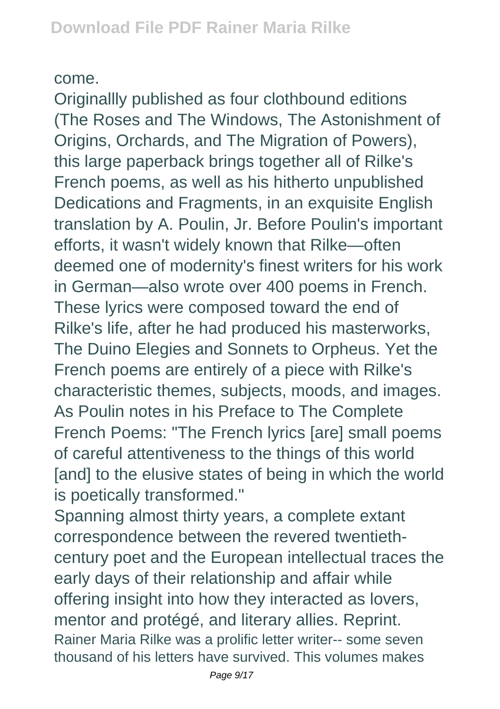## come.

Originallly published as four clothbound editions (The Roses and The Windows, The Astonishment of Origins, Orchards, and The Migration of Powers), this large paperback brings together all of Rilke's French poems, as well as his hitherto unpublished Dedications and Fragments, in an exquisite English translation by A. Poulin, Jr. Before Poulin's important efforts, it wasn't widely known that Rilke—often deemed one of modernity's finest writers for his work in German—also wrote over 400 poems in French. These lyrics were composed toward the end of Rilke's life, after he had produced his masterworks, The Duino Elegies and Sonnets to Orpheus. Yet the French poems are entirely of a piece with Rilke's characteristic themes, subjects, moods, and images. As Poulin notes in his Preface to The Complete French Poems: "The French lyrics [are] small poems of careful attentiveness to the things of this world [and] to the elusive states of being in which the world is poetically transformed."

Spanning almost thirty years, a complete extant correspondence between the revered twentiethcentury poet and the European intellectual traces the early days of their relationship and affair while offering insight into how they interacted as lovers, mentor and protégé, and literary allies. Reprint. Rainer Maria Rilke was a prolific letter writer-- some seven thousand of his letters have survived. This volumes makes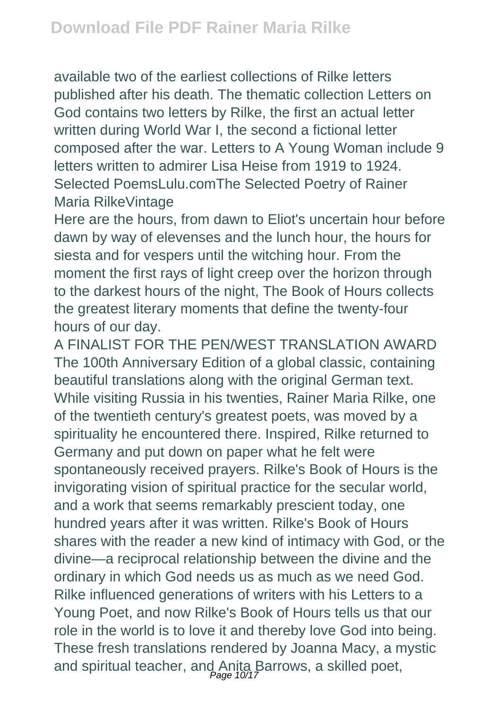available two of the earliest collections of Rilke letters published after his death. The thematic collection Letters on God contains two letters by Rilke, the first an actual letter written during World War I, the second a fictional letter composed after the war. Letters to A Young Woman include 9 letters written to admirer Lisa Heise from 1919 to 1924. Selected PoemsLulu.comThe Selected Poetry of Rainer Maria RilkeVintage

Here are the hours, from dawn to Eliot's uncertain hour before dawn by way of elevenses and the lunch hour, the hours for siesta and for vespers until the witching hour. From the moment the first rays of light creep over the horizon through to the darkest hours of the night, The Book of Hours collects the greatest literary moments that define the twenty-four hours of our day.

A FINALIST FOR THE PEN/WEST TRANSLATION AWARD The 100th Anniversary Edition of a global classic, containing beautiful translations along with the original German text. While visiting Russia in his twenties, Rainer Maria Rilke, one of the twentieth century's greatest poets, was moved by a spirituality he encountered there. Inspired, Rilke returned to Germany and put down on paper what he felt were spontaneously received prayers. Rilke's Book of Hours is the invigorating vision of spiritual practice for the secular world, and a work that seems remarkably prescient today, one hundred years after it was written. Rilke's Book of Hours shares with the reader a new kind of intimacy with God, or the divine—a reciprocal relationship between the divine and the ordinary in which God needs us as much as we need God. Rilke influenced generations of writers with his Letters to a Young Poet, and now Rilke's Book of Hours tells us that our role in the world is to love it and thereby love God into being. These fresh translations rendered by Joanna Macy, a mystic and spiritual teacher, and Anita Barrows, a skilled poet,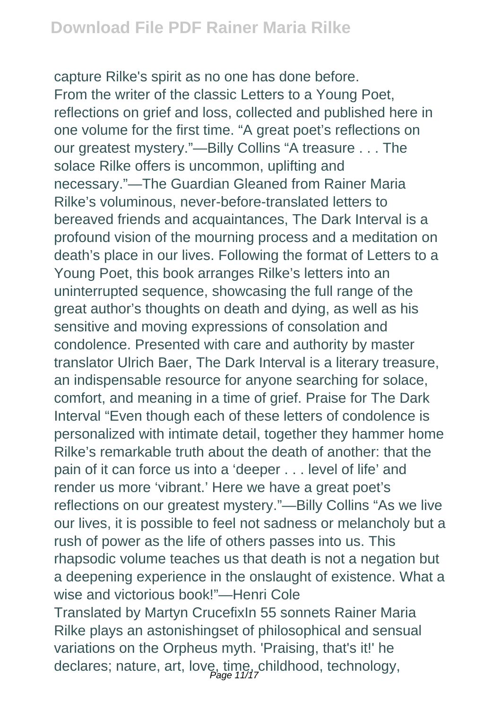capture Rilke's spirit as no one has done before. From the writer of the classic Letters to a Young Poet, reflections on grief and loss, collected and published here in one volume for the first time. "A great poet's reflections on our greatest mystery."—Billy Collins "A treasure . . . The solace Rilke offers is uncommon, uplifting and necessary."—The Guardian Gleaned from Rainer Maria Rilke's voluminous, never-before-translated letters to bereaved friends and acquaintances, The Dark Interval is a profound vision of the mourning process and a meditation on death's place in our lives. Following the format of Letters to a Young Poet, this book arranges Rilke's letters into an uninterrupted sequence, showcasing the full range of the great author's thoughts on death and dying, as well as his sensitive and moving expressions of consolation and condolence. Presented with care and authority by master translator Ulrich Baer, The Dark Interval is a literary treasure, an indispensable resource for anyone searching for solace, comfort, and meaning in a time of grief. Praise for The Dark Interval "Even though each of these letters of condolence is personalized with intimate detail, together they hammer home Rilke's remarkable truth about the death of another: that the pain of it can force us into a 'deeper . . . level of life' and render us more 'vibrant.' Here we have a great poet's reflections on our greatest mystery."—Billy Collins "As we live our lives, it is possible to feel not sadness or melancholy but a rush of power as the life of others passes into us. This rhapsodic volume teaches us that death is not a negation but a deepening experience in the onslaught of existence. What a wise and victorious book!"—Henri Cole Translated by Martyn CrucefixIn 55 sonnets Rainer Maria Rilke plays an astonishingset of philosophical and sensual variations on the Orpheus myth. 'Praising, that's it!' he declares; nature, art, love, time, childhood, technology,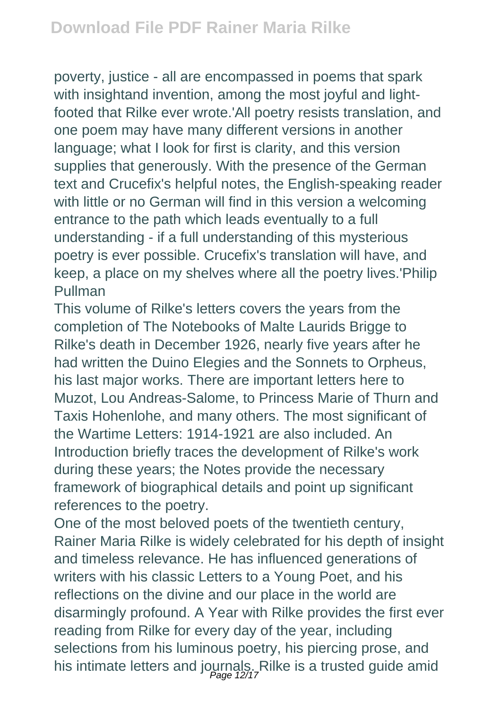poverty, justice - all are encompassed in poems that spark with insightand invention, among the most joyful and lightfooted that Rilke ever wrote.'All poetry resists translation, and one poem may have many different versions in another language; what I look for first is clarity, and this version supplies that generously. With the presence of the German text and Crucefix's helpful notes, the English-speaking reader with little or no German will find in this version a welcoming entrance to the path which leads eventually to a full understanding - if a full understanding of this mysterious poetry is ever possible. Crucefix's translation will have, and keep, a place on my shelves where all the poetry lives.'Philip Pullman

This volume of Rilke's letters covers the years from the completion of The Notebooks of Malte Laurids Brigge to Rilke's death in December 1926, nearly five years after he had written the Duino Elegies and the Sonnets to Orpheus, his last major works. There are important letters here to Muzot, Lou Andreas-Salome, to Princess Marie of Thurn and Taxis Hohenlohe, and many others. The most significant of the Wartime Letters: 1914-1921 are also included. An Introduction briefly traces the development of Rilke's work during these years; the Notes provide the necessary framework of biographical details and point up significant references to the poetry.

One of the most beloved poets of the twentieth century, Rainer Maria Rilke is widely celebrated for his depth of insight and timeless relevance. He has influenced generations of writers with his classic Letters to a Young Poet, and his reflections on the divine and our place in the world are disarmingly profound. A Year with Rilke provides the first ever reading from Rilke for every day of the year, including selections from his luminous poetry, his piercing prose, and his intimate letters and journals. Rilke is a trusted guide amid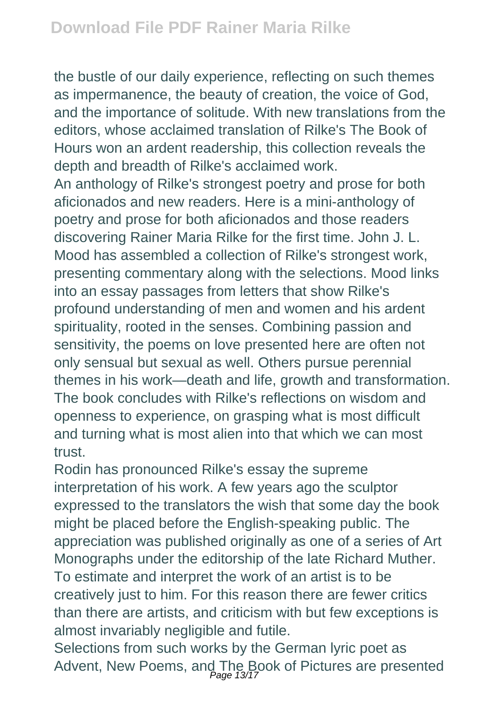the bustle of our daily experience, reflecting on such themes as impermanence, the beauty of creation, the voice of God, and the importance of solitude. With new translations from the editors, whose acclaimed translation of Rilke's The Book of Hours won an ardent readership, this collection reveals the depth and breadth of Rilke's acclaimed work.

An anthology of Rilke's strongest poetry and prose for both aficionados and new readers. Here is a mini-anthology of poetry and prose for both aficionados and those readers discovering Rainer Maria Rilke for the first time. John J. L. Mood has assembled a collection of Rilke's strongest work, presenting commentary along with the selections. Mood links into an essay passages from letters that show Rilke's profound understanding of men and women and his ardent spirituality, rooted in the senses. Combining passion and sensitivity, the poems on love presented here are often not only sensual but sexual as well. Others pursue perennial themes in his work—death and life, growth and transformation. The book concludes with Rilke's reflections on wisdom and openness to experience, on grasping what is most difficult and turning what is most alien into that which we can most trust.

Rodin has pronounced Rilke's essay the supreme interpretation of his work. A few years ago the sculptor expressed to the translators the wish that some day the book might be placed before the English-speaking public. The appreciation was published originally as one of a series of Art Monographs under the editorship of the late Richard Muther. To estimate and interpret the work of an artist is to be creatively just to him. For this reason there are fewer critics than there are artists, and criticism with but few exceptions is almost invariably negligible and futile.

Selections from such works by the German lyric poet as Advent, New Poems, and The Book of Pictures are presented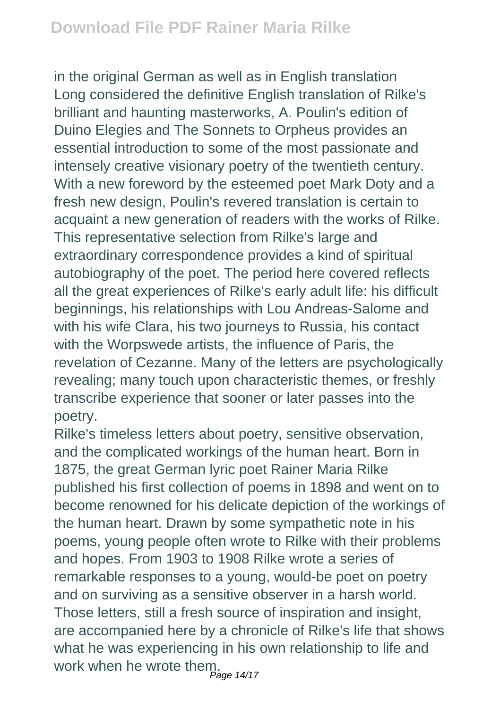in the original German as well as in English translation Long considered the definitive English translation of Rilke's brilliant and haunting masterworks, A. Poulin's edition of Duino Elegies and The Sonnets to Orpheus provides an essential introduction to some of the most passionate and intensely creative visionary poetry of the twentieth century. With a new foreword by the esteemed poet Mark Doty and a fresh new design, Poulin's revered translation is certain to acquaint a new generation of readers with the works of Rilke. This representative selection from Rilke's large and extraordinary correspondence provides a kind of spiritual autobiography of the poet. The period here covered reflects all the great experiences of Rilke's early adult life: his difficult beginnings, his relationships with Lou Andreas-Salome and with his wife Clara, his two journeys to Russia, his contact with the Worpswede artists, the influence of Paris, the revelation of Cezanne. Many of the letters are psychologically revealing; many touch upon characteristic themes, or freshly transcribe experience that sooner or later passes into the poetry.

Rilke's timeless letters about poetry, sensitive observation, and the complicated workings of the human heart. Born in 1875, the great German lyric poet Rainer Maria Rilke published his first collection of poems in 1898 and went on to become renowned for his delicate depiction of the workings of the human heart. Drawn by some sympathetic note in his poems, young people often wrote to Rilke with their problems and hopes. From 1903 to 1908 Rilke wrote a series of remarkable responses to a young, would-be poet on poetry and on surviving as a sensitive observer in a harsh world. Those letters, still a fresh source of inspiration and insight, are accompanied here by a chronicle of Rilke's life that shows what he was experiencing in his own relationship to life and work when he wrote them.<br><sup>Page 14/17</sup>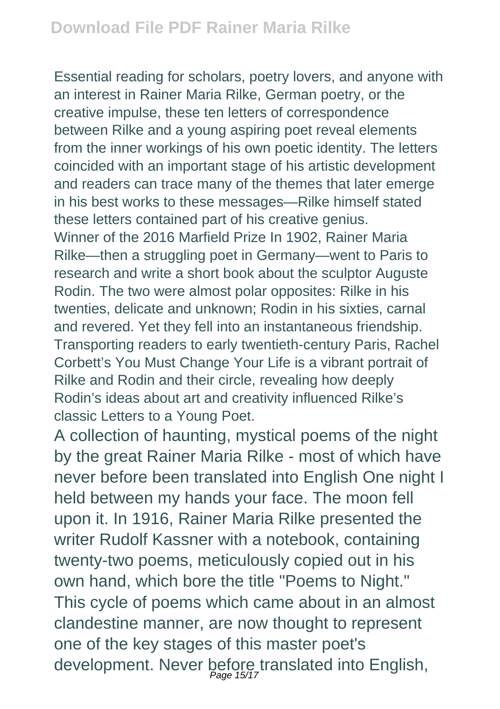Essential reading for scholars, poetry lovers, and anyone with an interest in Rainer Maria Rilke, German poetry, or the creative impulse, these ten letters of correspondence between Rilke and a young aspiring poet reveal elements from the inner workings of his own poetic identity. The letters coincided with an important stage of his artistic development and readers can trace many of the themes that later emerge in his best works to these messages—Rilke himself stated these letters contained part of his creative genius. Winner of the 2016 Marfield Prize In 1902, Rainer Maria Rilke—then a struggling poet in Germany—went to Paris to research and write a short book about the sculptor Auguste Rodin. The two were almost polar opposites: Rilke in his twenties, delicate and unknown; Rodin in his sixties, carnal and revered. Yet they fell into an instantaneous friendship. Transporting readers to early twentieth-century Paris, Rachel Corbett's You Must Change Your Life is a vibrant portrait of Rilke and Rodin and their circle, revealing how deeply Rodin's ideas about art and creativity influenced Rilke's classic Letters to a Young Poet.

A collection of haunting, mystical poems of the night by the great Rainer Maria Rilke - most of which have never before been translated into English One night I held between my hands your face. The moon fell upon it. In 1916, Rainer Maria Rilke presented the writer Rudolf Kassner with a notebook, containing twenty-two poems, meticulously copied out in his own hand, which bore the title "Poems to Night." This cycle of poems which came about in an almost clandestine manner, are now thought to represent one of the key stages of this master poet's development. Never before translated into English,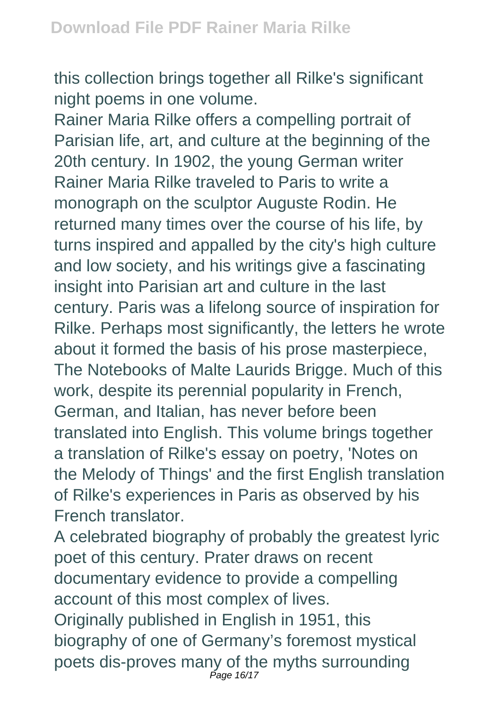this collection brings together all Rilke's significant night poems in one volume.

Rainer Maria Rilke offers a compelling portrait of Parisian life, art, and culture at the beginning of the 20th century. In 1902, the young German writer Rainer Maria Rilke traveled to Paris to write a monograph on the sculptor Auguste Rodin. He returned many times over the course of his life, by turns inspired and appalled by the city's high culture and low society, and his writings give a fascinating insight into Parisian art and culture in the last century. Paris was a lifelong source of inspiration for Rilke. Perhaps most significantly, the letters he wrote about it formed the basis of his prose masterpiece, The Notebooks of Malte Laurids Brigge. Much of this work, despite its perennial popularity in French, German, and Italian, has never before been translated into English. This volume brings together a translation of Rilke's essay on poetry, 'Notes on the Melody of Things' and the first English translation of Rilke's experiences in Paris as observed by his French translator.

A celebrated biography of probably the greatest lyric poet of this century. Prater draws on recent documentary evidence to provide a compelling account of this most complex of lives. Originally published in English in 1951, this biography of one of Germany's foremost mystical poets dis-proves many of the myths surrounding Page 16/17